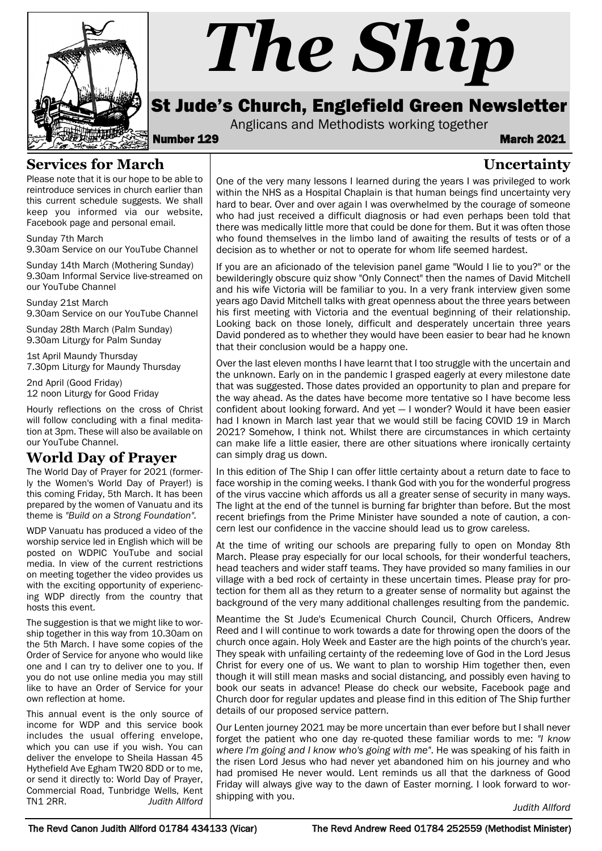

# *The Ship*

# St Jude's Church, Englefield Green Newsletter

Anglicans and Methodists working together<br>**March 2021** March 2021

**Uncertainty**

#### **Services for March**

Please note that it is our hope to be able to reintroduce services in church earlier than this current schedule suggests. We shall keep you informed via our website, Facebook page and personal email.

Sunday 7th March 9.30am Service on our YouTube Channel

Sunday 14th March (Mothering Sunday) 9.30am Informal Service live-streamed on our YouTube Channel

Sunday 21st March 9.30am Service on our YouTube Channel

Sunday 28th March (Palm Sunday) 9.30am Liturgy for Palm Sunday

1st April Maundy Thursday 7.30pm Liturgy for Maundy Thursday

2nd April (Good Friday) 12 noon Liturgy for Good Friday

Hourly reflections on the cross of Christ will follow concluding with a final meditation at 3pm. These will also be available on our YouTube Channel.

#### **World Day of Prayer**

The World Day of Prayer for 2021 (formerly the Women's World Day of Prayer!) is this coming Friday, 5th March. It has been prepared by the women of Vanuatu and its theme is *"Build on a Strong Foundation".*

WDP Vanuatu has produced a video of the worship service led in English which will be posted on WDPIC YouTube and social media. In view of the current restrictions on meeting together the video provides us with the exciting opportunity of experiencing WDP directly from the country that hosts this event.

The suggestion is that we might like to worship together in this way from 10.30am on the 5th March. I have some copies of the Order of Service for anyone who would like one and I can try to deliver one to you. If you do not use online media you may still like to have an Order of Service for your own reflection at home.

This annual event is the only source of income for WDP and this service book includes the usual offering envelope, which you can use if you wish. You can deliver the envelope to Sheila Hassan 45 Hythefield Ave Egham TW20 8DD or to me, or send it directly to: World Day of Prayer, Commercial Road, Tunbridge Wells, Kent<br>TN1 2RR. Judith Allford **Judith Allford** 

One of the very many lessons I learned during the years I was privileged to work within the NHS as a Hospital Chaplain is that human beings find uncertainty very hard to bear. Over and over again I was overwhelmed by the courage of someone who had just received a difficult diagnosis or had even perhaps been told that there was medically little more that could be done for them. But it was often those who found themselves in the limbo land of awaiting the results of tests or of a decision as to whether or not to operate for whom life seemed hardest.

If you are an aficionado of the television panel game "Would I lie to you?" or the bewilderingly obscure quiz show "Only Connect" then the names of David Mitchell and his wife Victoria will be familiar to you. In a very frank interview given some years ago David Mitchell talks with great openness about the three years between his first meeting with Victoria and the eventual beginning of their relationship. Looking back on those lonely, difficult and desperately uncertain three years David pondered as to whether they would have been easier to bear had he known that their conclusion would be a happy one.

Over the last eleven months I have learnt that I too struggle with the uncertain and the unknown. Early on in the pandemic I grasped eagerly at every milestone date that was suggested. Those dates provided an opportunity to plan and prepare for the way ahead. As the dates have become more tentative so I have become less confident about looking forward. And yet — I wonder? Would it have been easier had I known in March last year that we would still be facing COVID 19 in March 2021? Somehow, I think not. Whilst there are circumstances in which certainty can make life a little easier, there are other situations where ironically certainty can simply drag us down.

In this edition of The Ship I can offer little certainty about a return date to face to face worship in the coming weeks. I thank God with you for the wonderful progress of the virus vaccine which affords us all a greater sense of security in many ways. The light at the end of the tunnel is burning far brighter than before. But the most recent briefings from the Prime Minister have sounded a note of caution, a concern lest our confidence in the vaccine should lead us to grow careless.

At the time of writing our schools are preparing fully to open on Monday 8th March. Please pray especially for our local schools, for their wonderful teachers, head teachers and wider staff teams. They have provided so many families in our village with a bed rock of certainty in these uncertain times. Please pray for protection for them all as they return to a greater sense of normality but against the background of the very many additional challenges resulting from the pandemic.

Meantime the St Jude's Ecumenical Church Council, Church Officers, Andrew Reed and I will continue to work towards a date for throwing open the doors of the church once again. Holy Week and Easter are the high points of the church's year. They speak with unfailing certainty of the redeeming love of God in the Lord Jesus Christ for every one of us. We want to plan to worship Him together then, even though it will still mean masks and social distancing, and possibly even having to book our seats in advance! Please do check our website, Facebook page and Church door for regular updates and please find in this edition of The Ship further details of our proposed service pattern.

Our Lenten journey 2021 may be more uncertain than ever before but I shall never forget the patient who one day re-quoted these familiar words to me: *"I know where I'm going and I know who's going with me"*. He was speaking of his faith in the risen Lord Jesus who had never yet abandoned him on his journey and who had promised He never would. Lent reminds us all that the darkness of Good Friday will always give way to the dawn of Easter morning. I look forward to worshipping with you.

*Judith Allford*